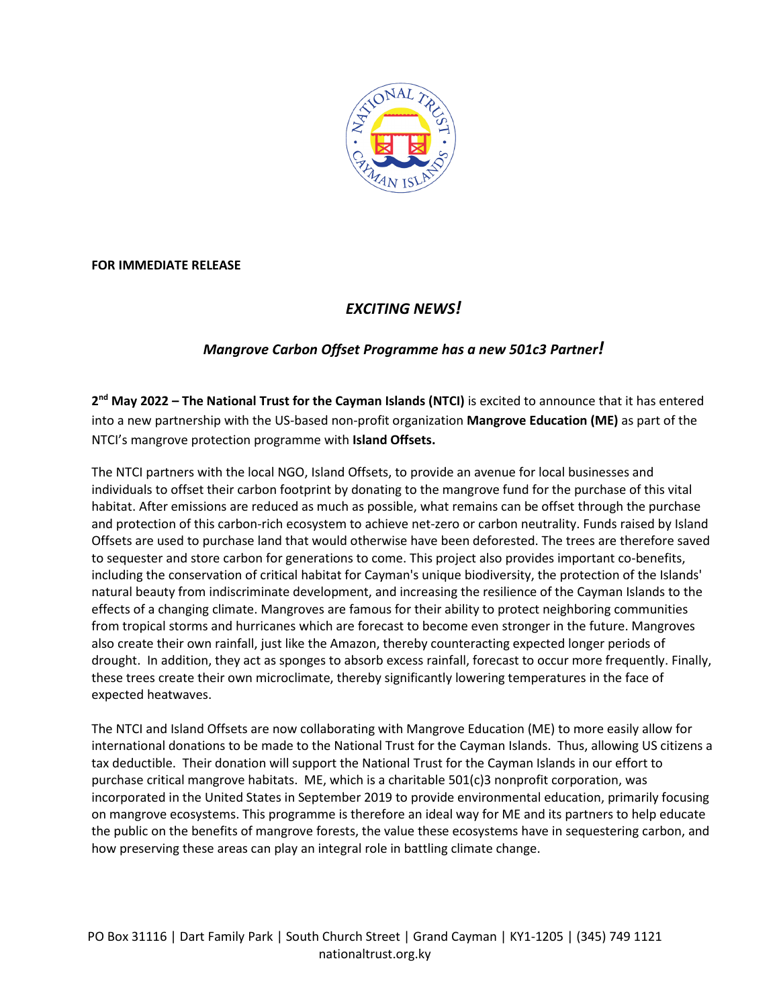

**FOR IMMEDIATE RELEASE**

# *EXCITING NEWS!*

## *Mangrove Carbon Offset Programme has a new 501c3 Partner!*

**2nd May 2022 – The National Trust for the Cayman Islands (NTCI)** is excited to announce that it has entered into a new partnership with the US-based non-profit organization **Mangrove Education (ME)** as part of the NTCI's mangrove protection programme with **Island Offsets.** 

The NTCI partners with the local NGO, Island Offsets, to provide an avenue for local businesses and individuals to offset their carbon footprint by donating to the mangrove fund for the purchase of this vital habitat. After emissions are reduced as much as possible, what remains can be offset through the purchase and protection of this carbon-rich ecosystem to achieve net-zero or carbon neutrality. Funds raised by Island Offsets are used to purchase land that would otherwise have been deforested. The trees are therefore saved to sequester and store carbon for generations to come. This project also provides important co-benefits, including the conservation of critical habitat for Cayman's unique biodiversity, the protection of the Islands' natural beauty from indiscriminate development, and increasing the resilience of the Cayman Islands to the effects of a changing climate. Mangroves are famous for their ability to protect neighboring communities from tropical storms and hurricanes which are forecast to become even stronger in the future. Mangroves also create their own rainfall, just like the Amazon, thereby counteracting expected longer periods of drought. In addition, they act as sponges to absorb excess rainfall, forecast to occur more frequently. Finally, these trees create their own microclimate, thereby significantly lowering temperatures in the face of expected heatwaves.

The NTCI and Island Offsets are now collaborating with Mangrove Education (ME) to more easily allow for international donations to be made to the National Trust for the Cayman Islands. Thus, allowing US citizens a tax deductible. Their donation will support the National Trust for the Cayman Islands in our effort to purchase critical mangrove habitats. ME, which is a charitable 501(c)3 nonprofit corporation, was incorporated in the United States in September 2019 to provide environmental education, primarily focusing on mangrove ecosystems. This programme is therefore an ideal way for ME and its partners to help educate the public on the benefits of mangrove forests, the value these ecosystems have in sequestering carbon, and how preserving these areas can play an integral role in battling climate change.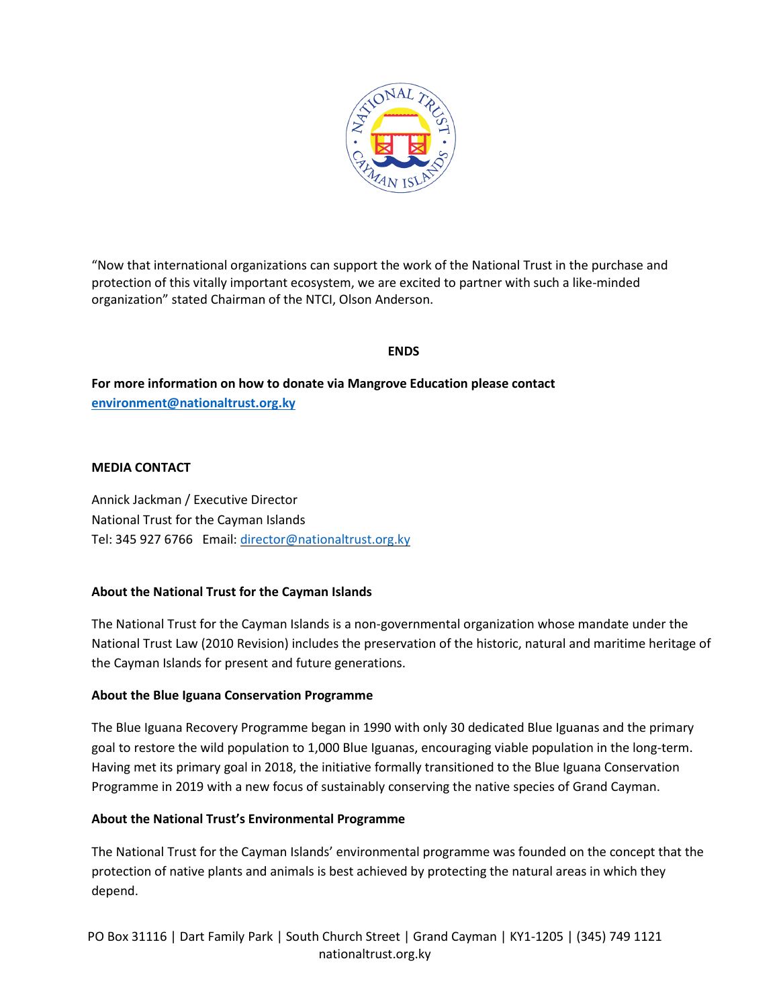

"Now that international organizations can support the work of the National Trust in the purchase and protection of this vitally important ecosystem, we are excited to partner with such a like-minded organization" stated Chairman of the NTCI, Olson Anderson.

### **ENDS**

**For more information on how to donate via Mangrove Education please contact [environment@nationaltrust.org.ky](mailto:environment@nationaltrust.org.ky)**

### **MEDIA CONTACT**

Annick Jackman / Executive Director National Trust for the Cayman Islands Tel: 345 927 6766 Email: [director@nationaltrust.org.ky](mailto:director@nationaltrust.org.ky)

## **About the National Trust for the Cayman Islands**

The National Trust for the Cayman Islands is a non-governmental organization whose mandate under the National Trust Law (2010 Revision) includes the preservation of the historic, natural and maritime heritage of the Cayman Islands for present and future generations.

#### **About the Blue Iguana Conservation Programme**

The Blue Iguana Recovery Programme began in 1990 with only 30 dedicated Blue Iguanas and the primary goal to restore the wild population to 1,000 Blue Iguanas, encouraging viable population in the long-term. Having met its primary goal in 2018, the initiative formally transitioned to the Blue Iguana Conservation Programme in 2019 with a new focus of sustainably conserving the native species of Grand Cayman.

#### **About the National Trust's Environmental Programme**

The National Trust for the Cayman Islands' environmental programme was founded on the concept that the protection of native plants and animals is best achieved by protecting the natural areas in which they depend.

PO Box 31116 | Dart Family Park | South Church Street | Grand Cayman | KY1-1205 | (345) 749 1121 nationaltrust.org.ky